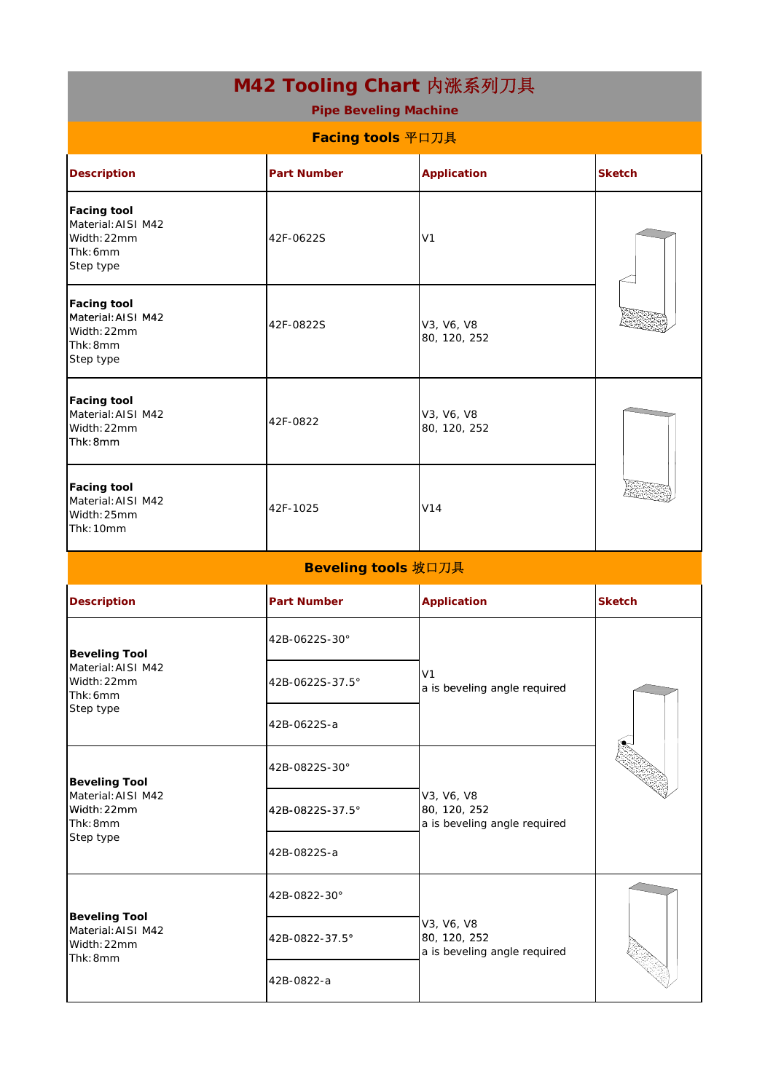| M42 Tooling Chart 内涨系列刀具<br><b>Pipe Beveling Machine</b>                           |                     |                                                            |               |  |
|------------------------------------------------------------------------------------|---------------------|------------------------------------------------------------|---------------|--|
| Facing tools 平口刀具                                                                  |                     |                                                            |               |  |
| <b>Description</b>                                                                 | <b>Part Number</b>  | <b>Application</b>                                         | <b>Sketch</b> |  |
| <b>Facing tool</b><br>Material: AISI M42<br>Width: 22mm<br>Thk: 6mm<br>Step type   | 42F-0622S           | V <sub>1</sub>                                             |               |  |
| <b>Facing tool</b><br>Material: AISI M42<br>Width: 22mm<br>Thk: 8mm<br>Step type   | 42F-0822S           | V3, V6, V8<br>80, 120, 252                                 |               |  |
| <b>Facing tool</b><br>Material: AISI M42<br>Width: 22mm<br>Thk:8mm                 | 42F-0822            | V3, V6, V8<br>80, 120, 252                                 |               |  |
| <b>Facing tool</b><br>Material: AISI M42<br>Width: 25mm<br>Thk: 10mm               | 42F-1025            | V14                                                        |               |  |
|                                                                                    | Beveling tools 坡口刀具 |                                                            |               |  |
| <b>Description</b>                                                                 | <b>Part Number</b>  | <b>Application</b>                                         | <b>Sketch</b> |  |
| <b>Beveling Tool</b><br>Material: AISI M42<br>Width: 22mm<br>Thk: 6mm<br>Step type | 42B-0622S-30°       | V <sub>1</sub><br>a is beveling angle required             |               |  |
|                                                                                    | 42B-0622S-37.5°     |                                                            |               |  |
|                                                                                    | 42B-0622S-a         |                                                            |               |  |
| <b>Beveling Tool</b><br>Material: AISI M42<br>Width: 22mm<br>Thk: 8mm<br>Step type | 42B-0822S-30°       | V3, V6, V8<br>80, 120, 252<br>a is beveling angle required |               |  |
|                                                                                    | 42B-0822S-37.5°     |                                                            |               |  |
|                                                                                    | 42B-0822S-a         |                                                            |               |  |
| <b>Beveling Tool</b><br>Material: AISI M42<br>Width: 22mm<br>Thk: 8mm              | 42B-0822-30°        | V3, V6, V8<br>80, 120, 252<br>a is beveling angle required |               |  |
|                                                                                    | 42B-0822-37.5°      |                                                            |               |  |
|                                                                                    | 42B-0822-a          |                                                            |               |  |